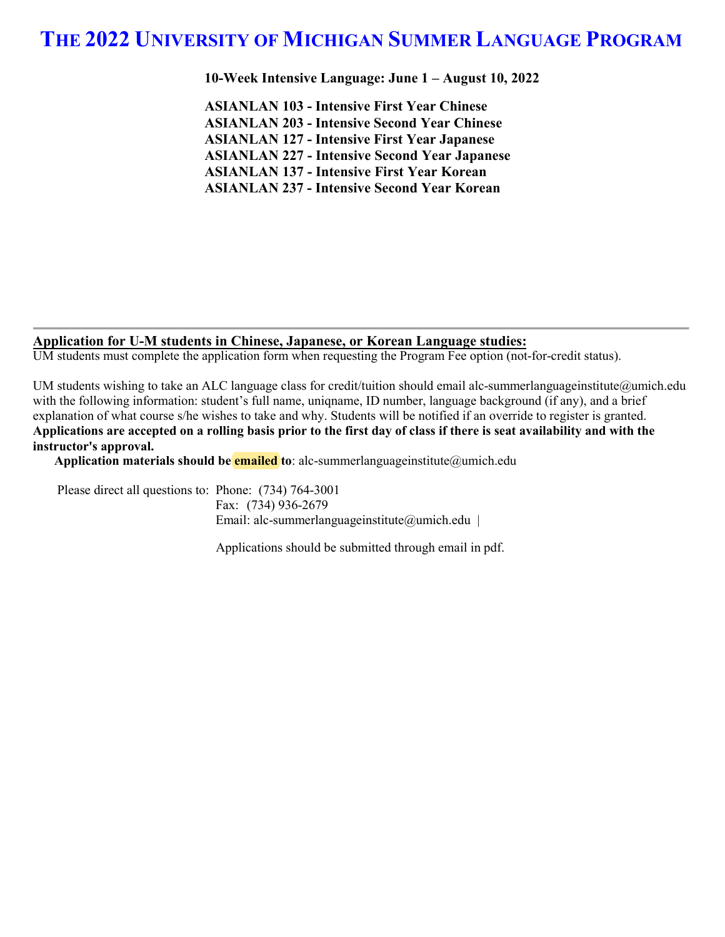**10-Week Intensive Language: June 1 – August 10, 2022**

**ASIANLAN 103 - Intensive First Year Chinese ASIANLAN 203 - Intensive Second Year Chinese ASIANLAN 127 - Intensive First Year Japanese ASIANLAN 227 - Intensive Second Year Japanese ASIANLAN 137 - Intensive First Year Korean ASIANLAN 237 - Intensive Second Year Korean**

#### **Application for U-M students in Chinese, Japanese, or Korean Language studies:**

UM students must complete the application form when requesting the Program Fee option (not-for-credit status).

UM students wishing to take an ALC language class for credit/tuition should email alc-summerlanguageinstitute@umich.edu with the following information: student's full name, uniqname, ID number, language background (if any), and a brief explanation of what course s/he wishes to take and why. Students will be notified if an override to register is granted. **Applications are accepted on a rolling basis prior to the first day of class if there is seat availability and with the instructor's approval.**

**Application materials should be emailed to**: alc-summerlanguageinstitute@umich.edu

Please direct all questions to: Phone: (734) 764-3001 Fax: (734) 936-2679 Email: alc-summerlanguageinstitute@umich.edu |

Applications should be submitted through email in pdf.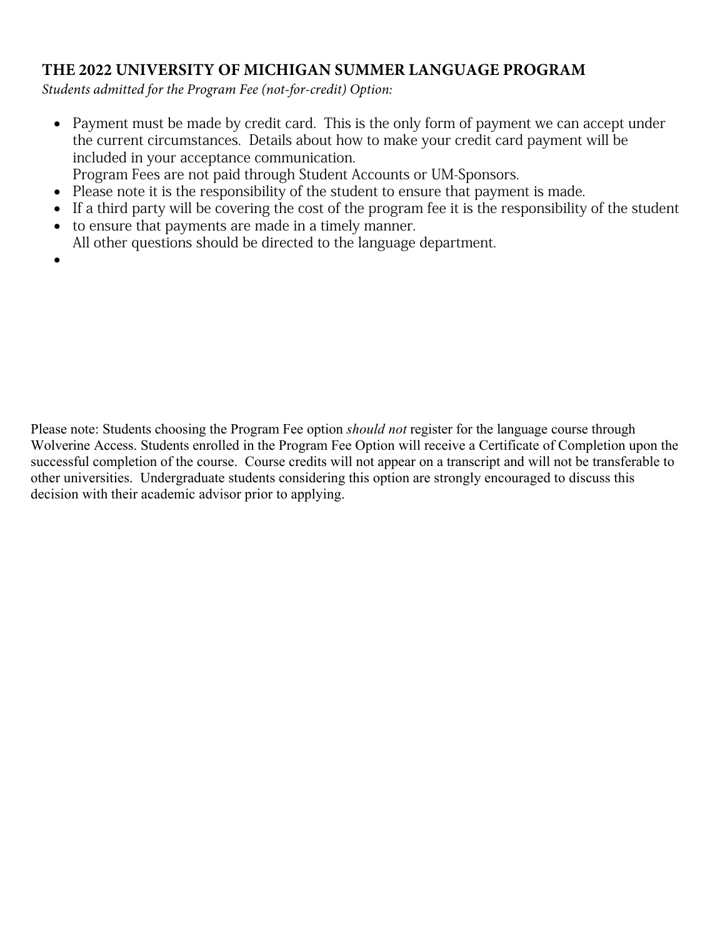*Students admitted for the Program Fee (not-for-credit) Option:*

- Payment must be made by credit card. This is the only form of payment we can accept under the current circumstances. Details about how to make your credit card payment will be included in your acceptance communication.
- Program Fees are not paid through Student Accounts or UM-Sponsors.
- Please note it is the responsibility of the student to ensure that payment is made.
- If a third party will be covering the cost of the program fee it is the responsibility of the student
- to ensure that payments are made in a timely manner. All other questions should be directed to the language department.
- •

Please note: Students choosing the Program Fee option *should not* register for the language course through Wolverine Access. Students enrolled in the Program Fee Option will receive a Certificate of Completion upon the successful completion of the course. Course credits will not appear on a transcript and will not be transferable to other universities. Undergraduate students considering this option are strongly encouraged to discuss this decision with their academic advisor prior to applying.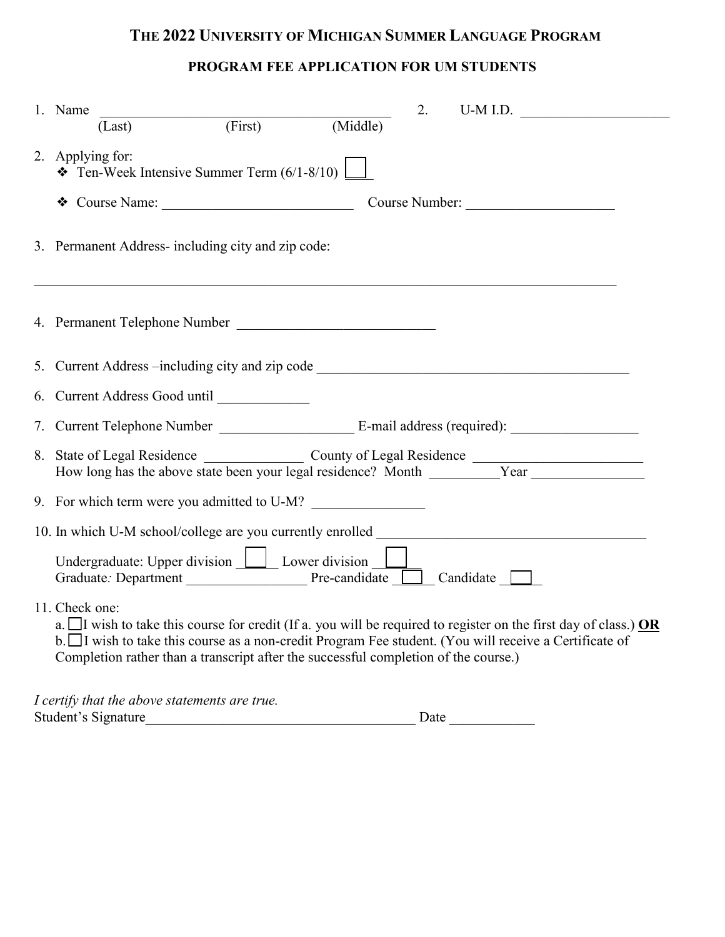## **PROGRAM FEE APPLICATION FOR UM STUDENTS**

| 2.<br>$U-M I.D.$<br>1. Name                                                                                                                                                                                                                                                                                                         |  |  |  |  |  |  |  |  |
|-------------------------------------------------------------------------------------------------------------------------------------------------------------------------------------------------------------------------------------------------------------------------------------------------------------------------------------|--|--|--|--|--|--|--|--|
| $\overline{(First)}$<br>(Middle)<br>(Last)                                                                                                                                                                                                                                                                                          |  |  |  |  |  |  |  |  |
| 2. Applying for:<br>$\bullet$ Ten-Week Intensive Summer Term (6/1-8/10)                                                                                                                                                                                                                                                             |  |  |  |  |  |  |  |  |
| Course Number:                                                                                                                                                                                                                                                                                                                      |  |  |  |  |  |  |  |  |
| 3. Permanent Address-including city and zip code:                                                                                                                                                                                                                                                                                   |  |  |  |  |  |  |  |  |
| 4. Permanent Telephone Number                                                                                                                                                                                                                                                                                                       |  |  |  |  |  |  |  |  |
| 5. Current Address --including city and zip code _______________________________                                                                                                                                                                                                                                                    |  |  |  |  |  |  |  |  |
|                                                                                                                                                                                                                                                                                                                                     |  |  |  |  |  |  |  |  |
|                                                                                                                                                                                                                                                                                                                                     |  |  |  |  |  |  |  |  |
| 8. State of Legal Residence County of Legal Residence Thow long has the above state been your legal residence? Month Vear                                                                                                                                                                                                           |  |  |  |  |  |  |  |  |
| 9. For which term were you admitted to U-M?                                                                                                                                                                                                                                                                                         |  |  |  |  |  |  |  |  |
| 10. In which U-M school/college are you currently enrolled                                                                                                                                                                                                                                                                          |  |  |  |  |  |  |  |  |
| Undergraduate: Upper division $\boxed{\underline{\qquad}}$ Lower division $\boxed{\underline{\qquad}}$                                                                                                                                                                                                                              |  |  |  |  |  |  |  |  |
| 11. Check one:<br>a. I wish to take this course for credit (If a. you will be required to register on the first day of class.) OR<br>b. □ I wish to take this course as a non-credit Program Fee student. (You will receive a Certificate of<br>Completion rather than a transcript after the successful completion of the course.) |  |  |  |  |  |  |  |  |
| I certify that the above statements are true.                                                                                                                                                                                                                                                                                       |  |  |  |  |  |  |  |  |

Student's Signature\_\_\_\_\_\_\_\_\_\_\_\_\_\_\_\_\_\_\_\_\_\_\_\_\_\_\_\_\_\_\_\_\_\_\_\_\_\_ Date \_\_\_\_\_\_\_\_\_\_\_\_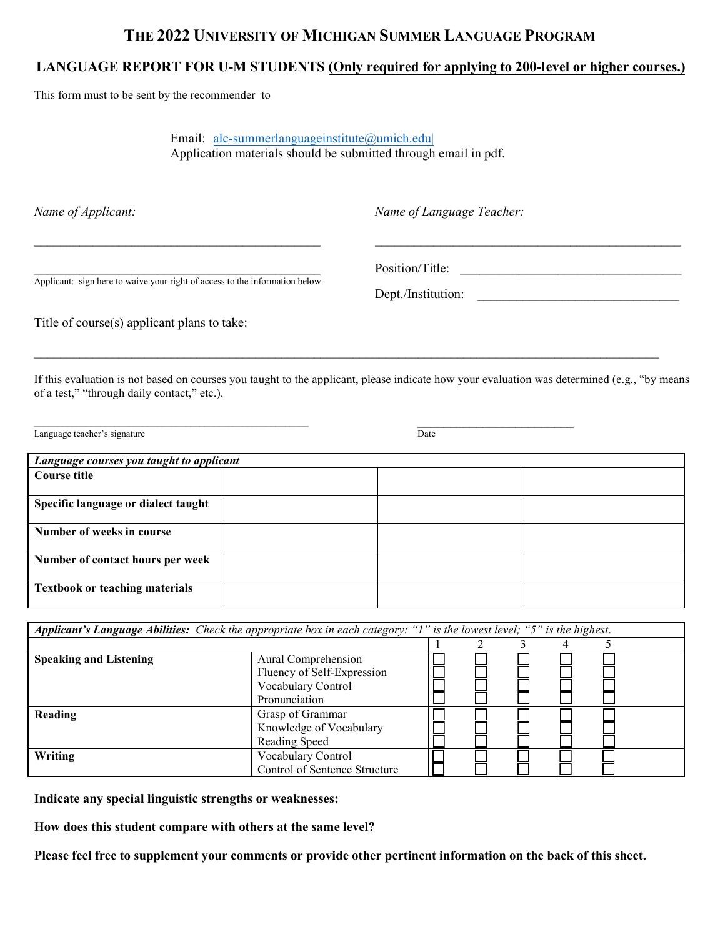#### **LANGUAGE REPORT FOR U-M STUDENTS (Only required for applying to 200-level or higher courses.)**

This form must to be sent by the recommender to

Email: alc-summerlanguageinstitute@umich.edu| Application materials should be submitted through email in pdf.

*Name of Applicant: Name of Language Teacher:*

Position/Title:

Applicant: sign here to waive your right of access to the information below.

Dept./Institution:

Title of course(s) applicant plans to take:

If this evaluation is not based on courses you taught to the applicant, please indicate how your evaluation was determined (e.g., "by means of a test," "through daily contact," etc.).

 $\_$  ,  $\_$  ,  $\_$  ,  $\_$  ,  $\_$  ,  $\_$  ,  $\_$  ,  $\_$  ,  $\_$  ,  $\_$  ,  $\_$  ,  $\_$  ,  $\_$  ,  $\_$  ,  $\_$  ,  $\_$  ,  $\_$  ,  $\_$  ,  $\_$  ,  $\_$  ,  $\_$  ,  $\_$  ,  $\_$  ,  $\_$  ,  $\_$  ,  $\_$  ,  $\_$  ,  $\_$  ,  $\_$  ,  $\_$  ,  $\_$  ,  $\_$  ,  $\_$  ,  $\_$  ,  $\_$  ,  $\_$  ,  $\_$  ,

\_\_\_\_\_\_\_\_\_\_\_\_\_\_\_\_\_\_\_\_\_\_\_\_\_\_\_\_\_\_\_\_\_\_\_\_\_\_\_\_\_\_\_\_ \_\_\_\_\_\_\_\_\_\_\_\_\_\_\_\_\_\_\_\_\_\_\_\_\_\_\_\_\_\_\_\_\_\_\_\_\_\_\_\_\_\_\_\_\_\_\_

Language teacher's signature **Date** 

| Language courses you taught to applicant |  |  |  |  |  |  |
|------------------------------------------|--|--|--|--|--|--|
| Course title                             |  |  |  |  |  |  |
|                                          |  |  |  |  |  |  |
| Specific language or dialect taught      |  |  |  |  |  |  |
| Number of weeks in course                |  |  |  |  |  |  |
| Number of contact hours per week         |  |  |  |  |  |  |
| <b>Textbook or teaching materials</b>    |  |  |  |  |  |  |

| Applicant's Language Abilities: Check the appropriate box in each category: "I" is the lowest level; "5" is the highest. |                                                                                          |  |  |  |  |  |
|--------------------------------------------------------------------------------------------------------------------------|------------------------------------------------------------------------------------------|--|--|--|--|--|
|                                                                                                                          |                                                                                          |  |  |  |  |  |
| <b>Speaking and Listening</b>                                                                                            | Aural Comprehension<br>Fluency of Self-Expression<br>Vocabulary Control<br>Pronunciation |  |  |  |  |  |
| Reading                                                                                                                  | Grasp of Grammar<br>Knowledge of Vocabulary<br>Reading Speed                             |  |  |  |  |  |
| Writing                                                                                                                  | Vocabulary Control<br>Control of Sentence Structure                                      |  |  |  |  |  |

**Indicate any special linguistic strengths or weaknesses:**

**How does this student compare with others at the same level?**

**Please feel free to supplement your comments or provide other pertinent information on the back of this sheet.**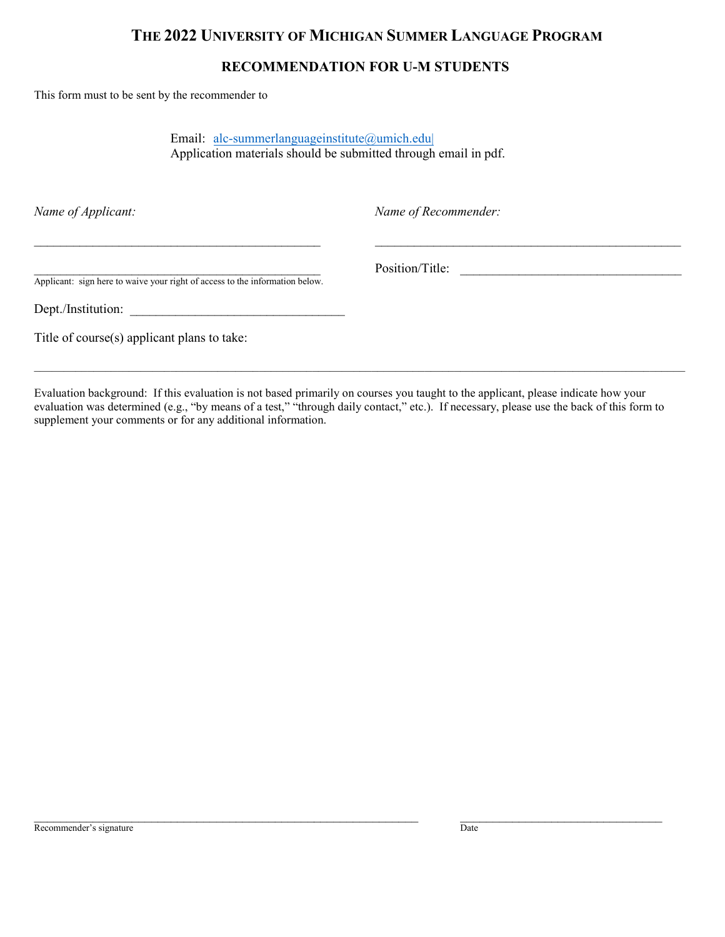#### **RECOMMENDATION FOR U-M STUDENTS**

This form must to be sent by the recommender to

Email: alc-summerlanguageinstitute@umich.edu| Application materials should be submitted through email in pdf.

\_\_\_\_\_\_\_\_\_\_\_\_\_\_\_\_\_\_\_\_\_\_\_\_\_\_\_\_\_\_\_\_\_\_\_\_\_\_\_\_\_\_\_\_ \_\_\_\_\_\_\_\_\_\_\_\_\_\_\_\_\_\_\_\_\_\_\_\_\_\_\_\_\_\_\_\_\_\_\_\_\_\_\_\_\_\_\_\_\_\_\_

*Name of Applicant: Name of Recommender:*

Position/Title:

Applicant: sign here to waive your right of access to the information below.

Dept./Institution:

Title of course(s) applicant plans to take:

Evaluation background: If this evaluation is not based primarily on courses you taught to the applicant, please indicate how your evaluation was determined (e.g., "by means of a test," "through daily contact," etc.). If necessary, please use the back of this form to supplement your comments or for any additional information.

 $\_$  ,  $\_$  ,  $\_$  ,  $\_$  ,  $\_$  ,  $\_$  ,  $\_$  ,  $\_$  ,  $\_$  ,  $\_$  ,  $\_$  ,  $\_$  ,  $\_$  ,  $\_$  ,  $\_$  ,  $\_$  ,  $\_$  ,  $\_$  ,  $\_$  ,  $\_$  ,  $\_$  ,  $\_$  ,  $\_$  ,  $\_$  ,  $\_$  ,  $\_$  ,  $\_$  ,  $\_$  ,  $\_$  ,  $\_$  ,  $\_$  ,  $\_$  ,  $\_$  ,  $\_$  ,  $\_$  ,  $\_$  ,  $\_$  ,

\_\_\_\_\_\_\_\_\_\_\_\_\_\_\_\_\_\_\_\_\_\_\_\_\_\_\_\_\_\_\_\_\_\_\_\_\_\_\_\_\_\_\_\_\_\_\_\_\_\_\_\_\_\_\_\_\_\_\_\_\_\_\_\_\_\_\_\_\_\_\_\_\_\_\_\_\_\_\_\_\_\_\_\_\_\_\_\_\_\_\_\_\_\_\_\_\_\_\_\_\_\_\_\_\_\_\_\_\_\_